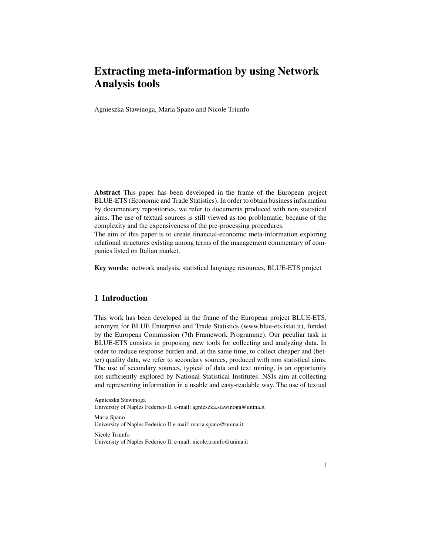# Extracting meta-information by using Network Analysis tools

Agnieszka Stawinoga, Maria Spano and Nicole Triunfo

Abstract This paper has been developed in the frame of the European project BLUE-ETS (Economic and Trade Statistics). In order to obtain business information by documentary repositories, we refer to documents produced with non statistical aims. The use of textual sources is still viewed as too problematic, because of the complexity and the expensiveness of the pre-processing procedures.

The aim of this paper is to create financial-economic meta-information exploring relational structures existing among terms of the management commentary of companies listed on Italian market.

Key words: network analysis, statistical language resources, BLUE-ETS project

# 1 Introduction

This work has been developed in the frame of the European project BLUE-ETS, acronym for BLUE Enterprise and Trade Statistics (www.blue-ets.istat.it), funded by the European Commission (7th Framework Programme). Our peculiar task in BLUE-ETS consists in proposing new tools for collecting and analyzing data. In order to reduce response burden and, at the same time, to collect cheaper and (better) quality data, we refer to secondary sources, produced with non statistical aims. The use of secondary sources, typical of data and text mining, is an opportunity not sufficiently explored by National Statistical Institutes. NSIs aim at collecting and representing information in a usable and easy-readable way. The use of textual

Maria Spano

Nicole Triunfo

Agnieszka Stawinoga

University of Naples Federico II, e-mail: agnieszka.stawinoga@unina.it

University of Naples Federico II e-mail: maria.spano@unina.it

University of Naples Federico II, e-mail: nicole.triunfo@unina.it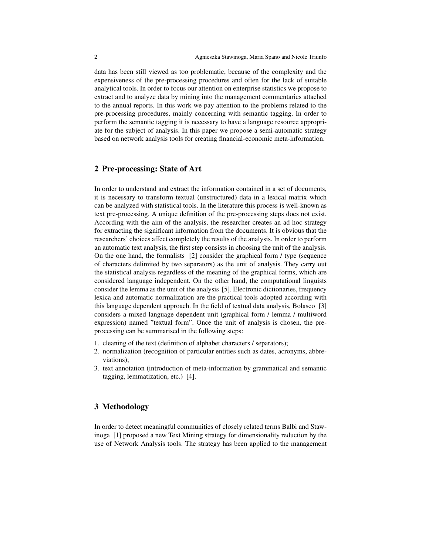data has been still viewed as too problematic, because of the complexity and the expensiveness of the pre-processing procedures and often for the lack of suitable analytical tools. In order to focus our attention on enterprise statistics we propose to extract and to analyze data by mining into the management commentaries attached to the annual reports. In this work we pay attention to the problems related to the pre-processing procedures, mainly concerning with semantic tagging. In order to perform the semantic tagging it is necessary to have a language resource appropriate for the subject of analysis. In this paper we propose a semi-automatic strategy based on network analysis tools for creating financial-economic meta-information.

#### 2 Pre-processing: State of Art

In order to understand and extract the information contained in a set of documents, it is necessary to transform textual (unstructured) data in a lexical matrix which can be analyzed with statistical tools. In the literature this process is well-known as text pre-processing. A unique definition of the pre-processing steps does not exist. According with the aim of the analysis, the researcher creates an ad hoc strategy for extracting the significant information from the documents. It is obvious that the researchers' choices affect completely the results of the analysis. In order to perform an automatic text analysis, the first step consists in choosing the unit of the analysis. On the one hand, the formalists [2] consider the graphical form / type (sequence of characters delimited by two separators) as the unit of analysis. They carry out the statistical analysis regardless of the meaning of the graphical forms, which are considered language independent. On the other hand, the computational linguists consider the lemma as the unit of the analysis [5]. Electronic dictionaries, frequency lexica and automatic normalization are the practical tools adopted according with this language dependent approach. In the field of textual data analysis, Bolasco [3] considers a mixed language dependent unit (graphical form / lemma / multiword expression) named "textual form". Once the unit of analysis is chosen, the preprocessing can be summarised in the following steps:

- 1. cleaning of the text (definition of alphabet characters / separators);
- 2. normalization (recognition of particular entities such as dates, acronyms, abbreviations);
- 3. text annotation (introduction of meta-information by grammatical and semantic tagging, lemmatization, etc.) [4].

#### 3 Methodology

In order to detect meaningful communities of closely related terms Balbi and Stawinoga [1] proposed a new Text Mining strategy for dimensionality reduction by the use of Network Analysis tools. The strategy has been applied to the management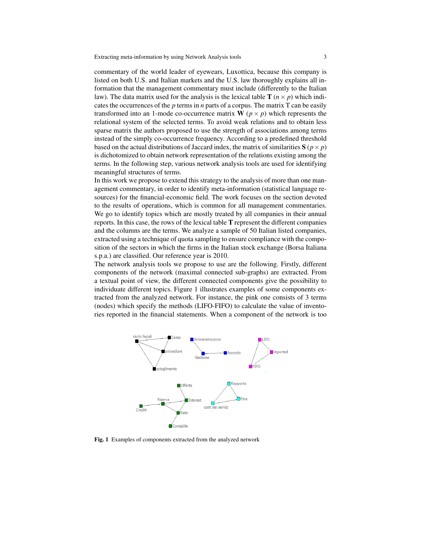Extracting meta-information by using Network Analysis tools 3

commentary of the world leader of eyewears, Luxottica, because this company is listed on both U.S. and Italian markets and the U.S. law thoroughly explains all information that the management commentary must include (differently to the Italian law). The data matrix used for the analysis is the lexical table **T** ( $n \times p$ ) which indicates the occurrences of the *p* terms in *n* parts of a corpus. The matrix T can be easily transformed into an 1-mode co-occurrence matrix  $\mathbf{W}$  ( $p \times p$ ) which represents the relational system of the selected terms. To avoid weak relations and to obtain less sparse matrix the authors proposed to use the strength of associations among terms instead of the simply co-occurrence frequency. According to a predefined threshold based on the actual distributions of Jaccard index, the matrix of similarities  $S(p \times p)$ is dichotomized to obtain network representation of the relations existing among the terms. In the following step, various network analysis tools are used for identifying meaningful structures of terms.

In this work we propose to extend this strategy to the analysis of more than one management commentary, in order to identify meta-information (statistical language resources) for the financial-economic field. The work focuses on the section devoted to the results of operations, which is common for all management commentaries. We go to identify topics which are mostly treated by all companies in their annual reports. In this case, the rows of the lexical table T represent the different companies and the columns are the terms. We analyze a sample of 50 Italian listed companies, extracted using a technique of quota sampling to ensure compliance with the composition of the sectors in which the firms in the Italian stock exchange (Borsa Italiana s.p.a.) are classified. Our reference year is 2010.

The network analysis tools we propose to use are the following. Firstly, different components of the network (maximal connected sub-graphs) are extracted. From a textual point of view, the different connected components give the possibility to individuate different topics. Figure 1 illustrates examples of some components extracted from the analyzed network. For instance, the pink one consists of 3 terms (nodes) which specify the methods (LIFO-FIFO) to calculate the value of inventories reported in the financial statements. When a component of the network is too



Fig. 1 Examples of components extracted from the analyzed network